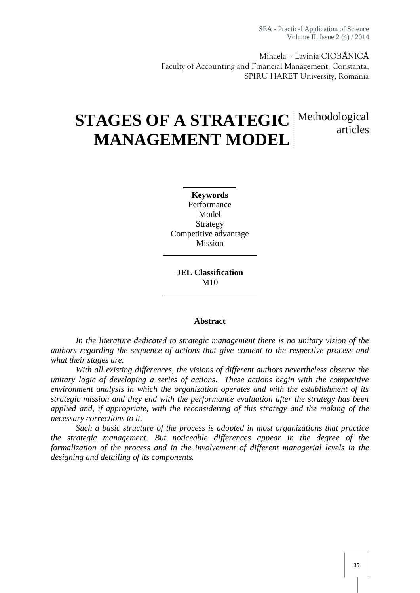SEA - Practical Application of Science Volume II, Issue 2 (4) / 2014

Mihaela – Lavinia CIOB NIC Faculty of Accounting and Financial Management, Constanta, SPIRU HARET University, Romania

# **STAGES OF A STRATEGIC** Methodological **MANAGEMENT MODEL** articles

**Keywords** Performance Model Strategy Competitive advantage Mission

**JEL Classification**  $M10$ 

#### **Abstract**

*In the literature dedicated to strategic management there is no unitary vision of the authors regarding the sequence of actions that give content to the respective process and what their stages are.*

*With all existing differences, the visions of different authors nevertheless observe the unitary logic of developing a series of actions. These actions begin with the competitive environment analysis in which the organization operates and with the establishment of its strategic mission and they end with the performance evaluation after the strategy has been applied and, if appropriate, with the reconsidering of this strategy and the making of the necessary corrections to it.*

*Such a basic structure of the process is adopted in most organizations that practice the strategic management. But noticeable differences appear in the degree of the formalization of the process and in the involvement of different managerial levels in the designing and detailing of its components.*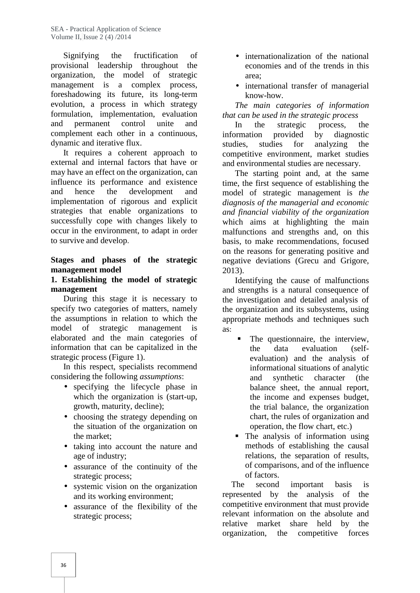Signifying the fructification of provisional leadership throughout the organization, the model of strategic management is a complex process, foreshadowing its future, its long-term evolution, a process in which strategy formulation, implementation, evaluation and permanent control unite and complement each other in a continuous, dynamic and iterative flux.

It requires a coherent approach to external and internal factors that have or may have an effect on the organization, can influence its performance and existence and hence the development and implementation of rigorous and explicit strategies that enable organizations to successfully cope with changes likely to occur in the environment, to adapt in order to survive and develop.

### **Stages and phases of the strategic management model**

#### **1. Establishing the model of strategic management**

During this stage it is necessary to specify two categories of matters, namely the assumptions in relation to which the model of strategic management is elaborated and the main categories of information that can be capitalized in the strategic process (Figure 1).

In this respect, specialists recommend considering the following *assumptions*:

- specifying the lifecycle phase in which the organization is (start-up, growth, maturity, decline);
- choosing the strategy depending on the situation of the organization on the market;
- taking into account the nature and age of industry;
- assurance of the continuity of the strategic process;
- systemic vision on the organization and its working environment;
- assurance of the flexibility of the strategic process;
- internationalization of the national economies and of the trends in this area;
- international transfer of managerial know-how.

*The main categories of information that can be used in the strategic process*

In the strategic process, the information provided by diagnostic studies, studies for analyzing the competitive environment, market studies and environmental studies are necessary.

The starting point and, at the same time, the first sequence of establishing the model of strategic management is *the diagnosis of the managerial and economic and financial viability of the organization* which aims at highlighting the main malfunctions and strengths and, on this basis, to make recommendations, focused on the reasons for generating positive and negative deviations (Grecu and Grigore, 2013).

Identifying the cause of malfunctions and strengths is a natural consequence of the investigation and detailed analysis of the organization and its subsystems, using appropriate methods and techniques such  $as.$ 

- The questionnaire, the interview, the data evaluation (self evaluation) and the analysis of informational situations of analytic and synthetic character (the balance sheet, the annual report, the income and expenses budget, the trial balance, the organization chart, the rules of organization and operation, the flow chart, etc.)
- The analysis of information using methods of establishing the causal relations, the separation of results, of comparisons, and of the influence of factors.

The second important basis is represented by the analysis of the competitive environment that must provide relevant information on the absolute and relative market share held by the organization, the competitive forces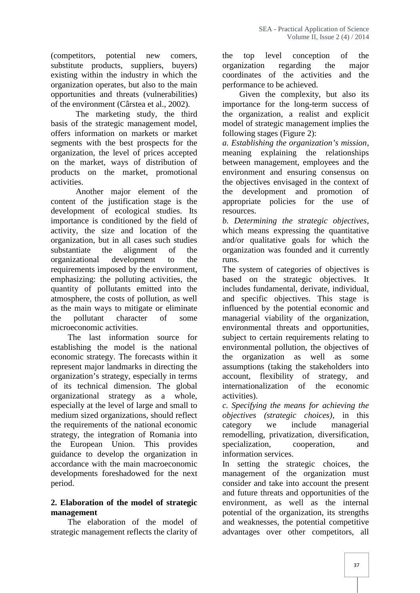(competitors, potential new comers, substitute products, suppliers, buyers) existing within the industry in which the organization operates, but also to the main opportunities and threats (vulnerabilities) of the environment (Cârstea et al., 2002).

The marketing study, the third basis of the strategic management model, offers information on markets or market segments with the best prospects for the organization, the level of prices accepted on the market, ways of distribution of products on the market, promotional activities.

Another major element of the content of the justification stage is the development of ecological studies. Its importance is conditioned by the field of activity, the size and location of the organization, but in all cases such studies substantiate the alignment of the organizational development to the requirements imposed by the environment, emphasizing: the polluting activities, the quantity of pollutants emitted into the atmosphere, the costs of pollution, as well as the main ways to mitigate or eliminate the pollutant character of some microeconomic activities.

The last information source for establishing the model is the national economic strategy. The forecasts within it represent major landmarks in directing the organization's strategy, especially in terms of its technical dimension. The global organizational strategy as a whole, especially at the level of large and small to medium sized organizations, should reflect the requirements of the national economic strategy, the integration of Romania into the European Union. This provides guidance to develop the organization in accordance with the main macroeconomic developments foreshadowed for the next period.

# **2. Elaboration of the model of strategic management**

The elaboration of the model of strategic management reflects the clarity of

the top level conception of the organization regarding the major coordinates of the activities and the performance to be achieved.

Given the complexity, but also its importance for the long-term success of the organization, a realist and explicit model of strategic management implies the following stages (Figure 2):

*a. Establishing the organization's mission*, meaning explaining the relationships between management, employees and the environment and ensuring consensus on the objectives envisaged in the context of the development and promotion of appropriate policies for the use of resources.

*b. Determining the strategic objectives*, which means expressing the quantitative and/or qualitative goals for which the organization was founded and it currently runs.

The system of categories of objectives is based on the strategic objectives. It includes fundamental, derivate, individual, and specific objectives. This stage is influenced by the potential economic and managerial viability of the organization, environmental threats and opportunities, subject to certain requirements relating to environmental pollution, the objectives of the organization as well as some assumptions (taking the stakeholders into account, flexibility of strategy, and internationalization of the economic activities).

*c. Specifying the means for achieving the objectives (strategic choices)*, in this we include managerial remodelling, privatization, diversification, specialization, cooperation, and information services.

In setting the strategic choices, the management of the organization must consider and take into account the present and future threats and opportunities of the environment, as well as the internal potential of the organization, its strengths and weaknesses, the potential competitive advantages over other competitors, all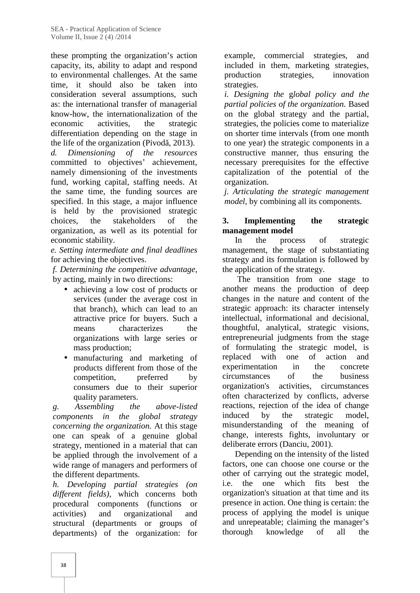these prompting the organization's action capacity, its, ability to adapt and respond to environmental challenges. At the same time, it should also be taken into consideration several assumptions, such as: the international transfer of managerial know-how, the internationalization of the economic activities, the strategic differentiation depending on the stage in the life of the organization (Pivod,  $2013$ ).

*d. Dimensioning of the resources* committed to objectives' achievement, namely dimensioning of the investments fund, working capital, staffing needs. At the same time, the funding sources are specified. In this stage, a major influence is held by the provisioned strategic choices, the stakeholders of the organization, as well as its potential for economic stability.

*e. Setting intermediate and final deadlines* for achieving the objectives.

*f. Determining the competitive advantage*, by acting, mainly in two directions:

- achieving a low cost of products or services (under the average cost in that branch), which can lead to an attractive price for buyers. Such a means characterizes the organizations with large series or mass production;
- manufacturing and marketing of products different from those of the competition, preferred by consumers due to their superior quality parameters.

*g. Assembling the above-listed components in the global strategy concerning the organization.* At this stage one can speak of a genuine global strategy, mentioned in a material that can be applied through the involvement of a wide range of managers and performers of the different departments.

*h. Developing partial strategies (on different fields)*, which concerns both procedural components (functions or activities) and organizational and structural (departments or groups of departments) of the organization: for

example, commercial strategies, and included in them, marketing strategies, strategies, innovation strategies.

*i. Designing the* g*lobal policy and the partial policies of the organization.* Based on the global strategy and the partial, strategies, the policies come to materialize on shorter time intervals (from one month to one year) the strategic components in a constructive manner, thus ensuring the necessary prerequisites for the effective capitalization of the potential of the organization.

*j. Articulating the strategic management model*, by combining all its components.

# **Implementing** the strategic **management model**

In the process of strategic management, the stage of substantiating strategy and its formulation is followed by the application of the strategy.

The transition from one stage to another means the production of deep changes in the nature and content of the strategic approach: its character intensely intellectual, informational and decisional, thoughtful, analytical, strategic visions, entrepreneurial judgments from the stage of formulating the strategic model, is replaced with one of action and experimentation in the concrete circumstances of the business organization's activities, circumstances often characterized by conflicts, adverse reactions, rejection of the idea of change by the strategic model, misunderstanding of the meaning of change, interests fights, involuntary or deliberate errors (Danciu, 2001).

Depending on the intensity of the listed factors, one can choose one course or the other of carrying out the strategic model, the one which fits best the organization's situation at that time and its presence in action. One thing is certain: the process of applying the model is unique and unrepeatable; claiming the manager's thorough knowledge of all the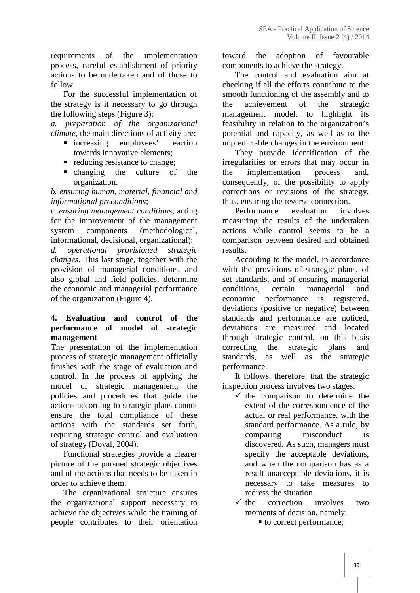requirements of the implementation process, careful establishment of priority actions to be undertaken and of those to follow.

For the successful implementation of the strategy is it necessary to go through the following steps (Figure 3):

*a. preparation of the organizational climate*, the main directions of activity are:

- **n** increasing employees' reaction towards innovative elements;
- reducing resistance to change;
- changing the culture of the the organization.

*b. ensuring human, material, financial and informational preconditions*;

*c. ensuring management conditions*, acting for the improvement of the management system components (methodological, informational, decisional, organizational);

*d. operational provisioned strategic changes*. This last stage, together with the provision of managerial conditions, and also global and field policies, determine the economic and managerial performance of the organization (Figure 4).

#### **4. Evaluation and control of the performance of model of strategic management**

The presentation of the implementation process of strategic management officially finishes with the stage of evaluation and control. In the process of applying the model of strategic management, the policies and procedures that guide the actions according to strategic plans cannot ensure the total compliance of these actions with the standards set forth, requiring strategic control and evaluation of strategy (Doval, 2004).

Functional strategies provide a clearer picture of the pursued strategic objectives and of the actions that needs to be taken in order to achieve them.

The organizational structure ensures the organizational support necessary to achieve the objectives while the training of people contributes to their orientation

the adoption of favourable components to achieve the strategy.

The control and evaluation aim at checking if all the efforts contribute to the smooth functioning of the assembly and to achievement of the strategic management model, to highlight its feasibility in relation to the organization's potential and capacity, as well as to the unpredictable changes in the environment.

They provide identification of the irregularities or errors that may occur in implementation process and, consequently, of the possibility to apply corrections or revisions of the strategy, thus, ensuring the reverse connection.

Performance evaluation involves measuring the results of the undertaken actions while control seems to be a comparison between desired and obtained results.

According to the model, in accordance with the provisions of strategic plans, of set standards, and of ensuring managerial certain managerial and economic performance is registered, deviations (positive or negative) between standards and performance are noticed, deviations are measured and located through strategic control, on this basis correcting the strategic plans and as well as the strategic performance.

It follows, therefore, that the strategic inspection process involves two stages:

- $\checkmark$  the comparison to determine the extent of the correspondence of the actual or real performance, with the standard performance. As a rule, by comparing misconduct is discovered. As such, managers must specify the acceptable deviations, and when the comparison has as a result unacceptable deviations, it is necessary to take measures to redress the situation.
- $\checkmark$  the correction involves two moments of decision, namely:
	- to correct performance;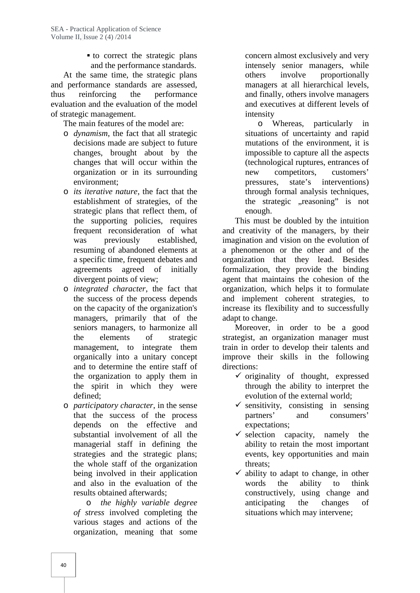to correct the strategic plans and the performance standards.

At the same time, the strategic plans and performance standards are assessed, thus reinforcing the performance evaluation and the evaluation of the model of strategic management.

The main features of the model are:

- o *dynamism*, the fact that all strategic decisions made are subject to future changes, brought about by the changes that will occur within the organization or in its surrounding environment;
- o *its iterative nature*, the fact that the establishment of strategies, of the strategic plans that reflect them, of the supporting policies, requires frequent reconsideration of what was previously established, resuming of abandoned elements at a specific time, frequent debates and agreements agreed of initially divergent points of view;
- o *integrated character*, the fact that the success of the process depends on the capacity of the organization's managers, primarily that of the seniors managers, to harmonize all the elements of strategic management, to integrate them organically into a unitary concept and to determine the entire staff of the organization to apply them in the spirit in which they were defined;
- o *participatory character*, in the sense that the success of the process depends on the effective and substantial involvement of all the managerial staff in defining the strategies and the strategic plans; the whole staff of the organization being involved in their application and also in the evaluation of the results obtained afterwards;

o *the highly variable degree of stress* involved completing the various stages and actions of the organization, meaning that some

concern almost exclusively and very intensely senior managers, while others involve proportionally managers at all hierarchical levels, and finally, others involve managers and executives at different levels of intensity

o Whereas, particularly in situations of uncertainty and rapid mutations of the environment, it is impossible to capture all the aspects (technological ruptures, entrances of new competitors, customers' pressures, state's interventions) through formal analysis techniques, the strategic "reasoning" is not enough.

This must be doubled by the intuition and creativity of the managers, by their imagination and vision on the evolution of a phenomenon or the other and of the organization that they lead. Besides formalization, they provide the binding agent that maintains the cohesion of the organization, which helps it to formulate and implement coherent strategies, to increase its flexibility and to successfully adapt to change.

Moreover, in order to be a good strategist, an organization manager must train in order to develop their talents and improve their skills in the following directions:

- $\checkmark$  originality of thought, expressed through the ability to interpret the evolution of the external world;
- $\checkmark$  sensitivity, consisting in sensing partners' and consumers' expectations;
- $\checkmark$  selection capacity, namely the ability to retain the most important events, key opportunities and main threats;
- $\checkmark$  ability to adapt to change, in other words the ability to think constructively, using change and anticipating the changes of situations which may intervene;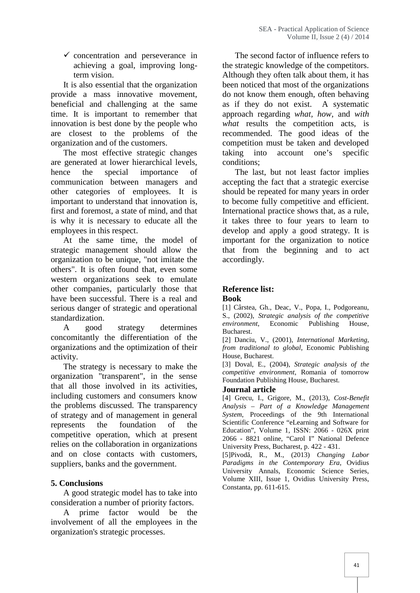$\checkmark$  concentration and perseverance in achieving a goal, improving longterm vision.

It is also essential that the organization provide a mass innovative movement, beneficial and challenging at the same time. It is important to remember that innovation is best done by the people who are closest to the problems of the organization and of the customers.

The most effective strategic changes are generated at lower hierarchical levels, hence the special importance of communication between managers and other categories of employees. It is important to understand that innovation is, first and foremost, a state of mind, and that is why it is necessary to educate all the employees in this respect.

At the same time, the model of strategic management should allow the organization to be unique, "not imitate the others". It is often found that, even some western organizations seek to emulate other companies, particularly those that have been successful. There is a real and serious danger of strategic and operational standardization.

A good strategy determines concomitantly the differentiation of the organizations and the optimization of their activity.

The strategy is necessary to make the organization "transparent", in the sense that all those involved in its activities, including customers and consumers know the problems discussed. The transparency of strategy and of management in general represents the foundation of the competitive operation, which at present relies on the collaboration in organizations and on close contacts with customers, suppliers, banks and the government.

### **5. Conclusions**

A good strategic model has to take into consideration a number of priority factors.

A prime factor would be the involvement of all the employees in the organization's strategic processes.

The second factor of influence refers to the strategic knowledge of the competitors. Although they often talk about them, it has been noticed that most of the organizations do not know them enough, often behaving as if they do not exist. A systematic approach regarding *what, how*, and *with what* results the competition acts, is recommended. The good ideas of the competition must be taken and developed taking into account one's specific conditions;

The last, but not least factor implies accepting the fact that a strategic exercise should be repeated for many years in order to become fully competitive and efficient. International practice shows that, as a rule, it takes three to four years to learn to develop and apply a good strategy. It is important for the organization to notice that from the beginning and to act accordingly.

#### **Reference list: Book**

[1] Cârstea, Gh., Deac, V., Popa, I., Podgoreanu, S., (2002), *Strategic analysis of the competitive environment*, Economic Publishing House, Bucharest.

[2] Danciu, V., (2001), *International Marketing, from traditional to global*, Economic Publishing House, Bucharest.

[3] Doval, E., (2004), *Strategic analysis of the competitive environment*, Romania of tomorrow Foundation Publishing House, Bucharest.

#### **Journal article**

[4] Grecu, I., Grigore, M., (2013), *Cost-Benefit Analysis – Part of a Knowledge Management System*, Proceedings of the 9th International Scientific Conference "eLearning and Software for Education", Volume 1, ISSN: 2066 - 026X print 2066 - 8821 online, "Carol I" National Defence University Press, Bucharest, p. 422 - 431.

[5]Pivodă, R., M., (2013) *Changing Labor Paradigms in the Contemporary Era*, Ovidius University Annals, Economic Science Series, Volume XIII, Issue 1, Ovidius University Press, Constanta, pp. 611-615.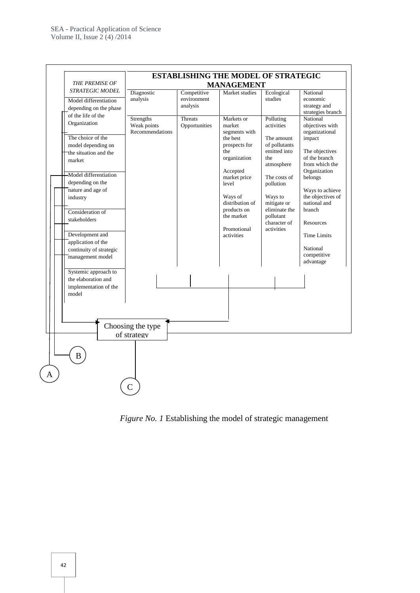

*Figure No. 1* Establishing the model of strategic management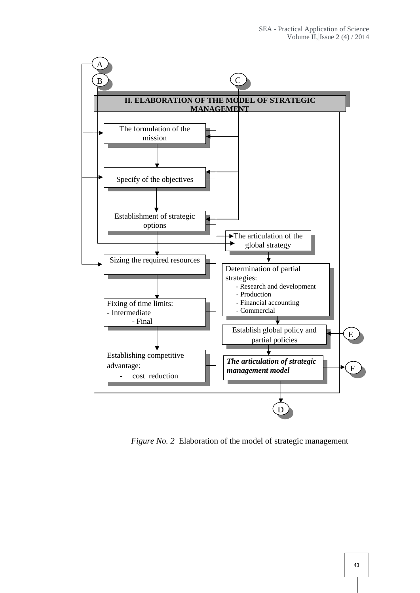

*Figure No. 2* Elaboration of the model of strategic management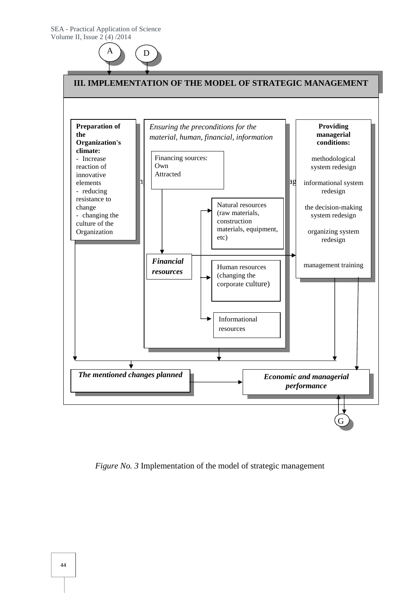



*Figure No. 3* Implementation of the model of strategic management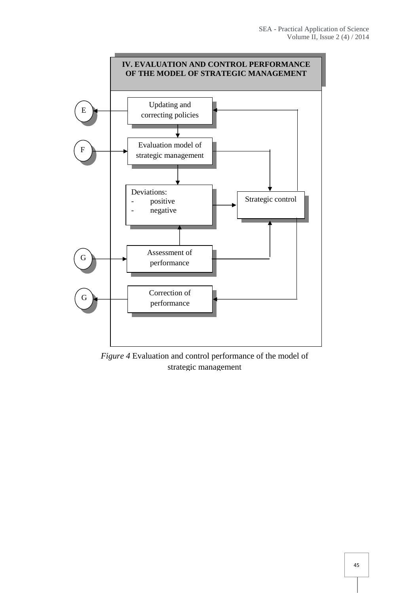

*Figure 4* Evaluation and control performance of the model of strategic management